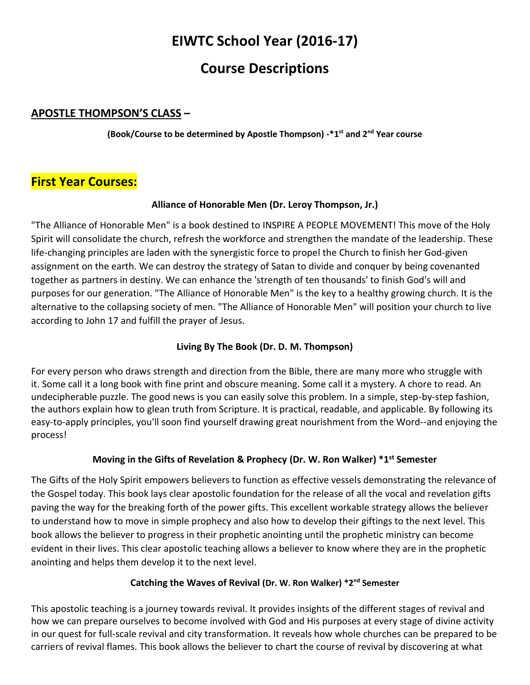# **EIWTC School Year (2016-17)**

# **Course Descriptions**

# **APOSTLE THOMPSON'S CLASS –**

**(Book/Course to be determined by Apostle Thompson) -\*1st and 2nd Year course**

# **First Year Courses:**

## **Alliance of Honorable Men (Dr. Leroy Thompson, Jr.)**

"The Alliance of Honorable Men" is a book destined to INSPIRE A PEOPLE MOVEMENT! This move of the Holy Spirit will consolidate the church, refresh the workforce and strengthen the mandate of the leadership. These life-changing principles are laden with the synergistic force to propel the Church to finish her God-given assignment on the earth. We can destroy the strategy of Satan to divide and conquer by being covenanted together as partners in destiny. We can enhance the 'strength of ten thousands' to finish God's will and purposes for our generation. "The Alliance of Honorable Men" is the key to a healthy growing church. It is the alternative to the collapsing society of men. "The Alliance of Honorable Men" will position your church to live according to John 17 and fulfill the prayer of Jesus.

## **Living By The Book (Dr. D. M. Thompson)**

For every person who draws strength and direction from the Bible, there are many more who struggle with it. Some call it a long book with fine print and obscure meaning. Some call it a mystery. A chore to read. An undecipherable puzzle. The good news is you can easily solve this problem. In a simple, step-by-step fashion, the authors explain how to glean truth from Scripture. It is practical, readable, and applicable. By following its easy-to-apply principles, you'll soon find yourself drawing great nourishment from the Word--and enjoying the process!

## **Moving in the Gifts of Revelation & Prophecy (Dr. W. Ron Walker) \*1st Semester**

The Gifts of the Holy Spirit empowers believers to function as effective vessels demonstrating the relevance of the Gospel today. This book lays clear apostolic foundation for the release of all the vocal and revelation gifts paving the way for the breaking forth of the power gifts. This excellent workable strategy allows the believer to understand how to move in simple prophecy and also how to develop their giftings to the next level. This book allows the believer to progress in their prophetic anointing until the prophetic ministry can become evident in their lives. This clear apostolic teaching allows a believer to know where they are in the prophetic anointing and helps them develop it to the next level.

#### **Catching the Waves of Revival (Dr. W. Ron Walker) \*2nd Semester**

This apostolic teaching is a journey towards revival. It provides insights of the different stages of revival and how we can prepare ourselves to become involved with God and His purposes at every stage of divine activity in our quest for full-scale revival and city transformation. It reveals how whole churches can be prepared to be carriers of revival flames. This book allows the believer to chart the course of revival by discovering at what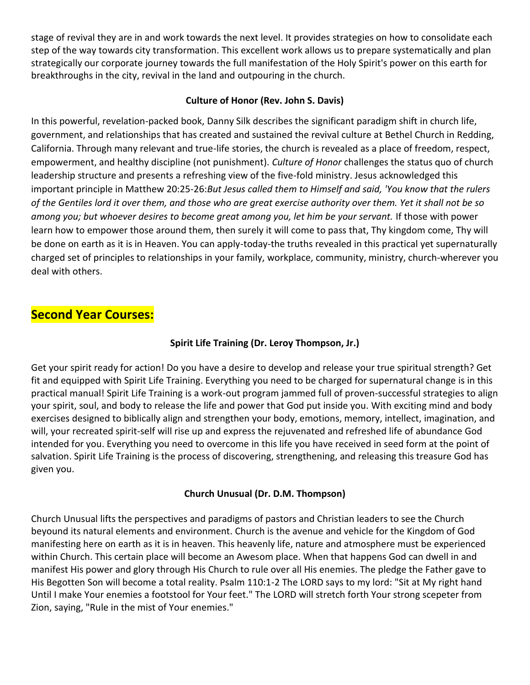stage of revival they are in and work towards the next level. It provides strategies on how to consolidate each step of the way towards city transformation. This excellent work allows us to prepare systematically and plan strategically our corporate journey towards the full manifestation of the Holy Spirit's power on this earth for breakthroughs in the city, revival in the land and outpouring in the church.

#### **Culture of Honor (Rev. John S. Davis)**

In this powerful, revelation-packed book, Danny Silk describes the significant paradigm shift in church life, government, and relationships that has created and sustained the revival culture at Bethel Church in Redding, California. Through many relevant and true-life stories, the church is revealed as a place of freedom, respect, empowerment, and healthy discipline (not punishment). *Culture of Honor* challenges the status quo of church leadership structure and presents a refreshing view of the five-fold ministry. Jesus acknowledged this important principle in Matthew 20:25-26:*But Jesus called them to Himself and said, 'You know that the rulers of the Gentiles lord it over them, and those who are great exercise authority over them. Yet it shall not be so among you; but whoever desires to become great among you, let him be your servant.* If those with power learn how to empower those around them, then surely it will come to pass that, Thy kingdom come, Thy will be done on earth as it is in Heaven. You can apply-today-the truths revealed in this practical yet supernaturally charged set of principles to relationships in your family, workplace, community, ministry, church-wherever you deal with others.

# **Second Year Courses:**

## **Spirit Life Training (Dr. Leroy Thompson, Jr.)**

Get your spirit ready for action! Do you have a desire to develop and release your true spiritual strength? Get fit and equipped with Spirit Life Training. Everything you need to be charged for supernatural change is in this practical manual! Spirit Life Training is a work-out program jammed full of proven-successful strategies to align your spirit, soul, and body to release the life and power that God put inside you. With exciting mind and body exercises designed to biblically align and strengthen your body, emotions, memory, intellect, imagination, and will, your recreated spirit-self will rise up and express the rejuvenated and refreshed life of abundance God intended for you. Everything you need to overcome in this life you have received in seed form at the point of salvation. Spirit Life Training is the process of discovering, strengthening, and releasing this treasure God has given you.

#### **Church Unusual (Dr. D.M. Thompson)**

Church Unusual lifts the perspectives and paradigms of pastors and Christian leaders to see the Church beyound its natural elements and environment. Church is the avenue and vehicle for the Kingdom of God manifesting here on earth as it is in heaven. This heavenly life, nature and atmosphere must be experienced within Church. This certain place will become an Awesom place. When that happens God can dwell in and manifest His power and glory through His Church to rule over all His enemies. The pledge the Father gave to His Begotten Son will become a total reality. Psalm 110:1-2 The LORD says to my lord: "Sit at My right hand Until I make Your enemies a footstool for Your feet." The LORD will stretch forth Your strong scepeter from Zion, saying, "Rule in the mist of Your enemies."